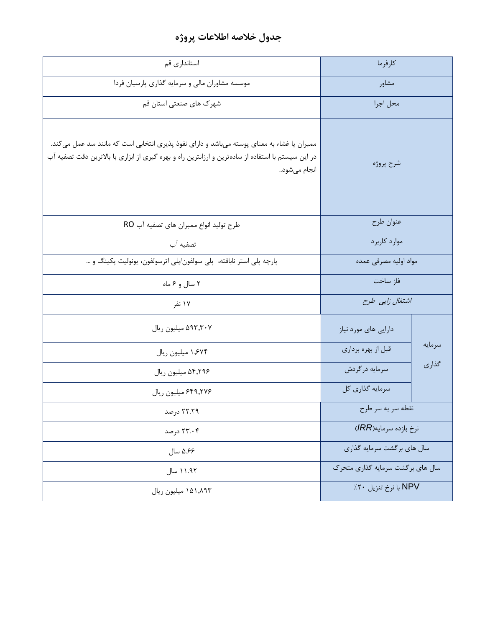## **جدول خالصه اطالعات پروژه**

| استانداري قم                                                                                                                                                                                                    | كارفرما                          |        |
|-----------------------------------------------------------------------------------------------------------------------------------------------------------------------------------------------------------------|----------------------------------|--------|
| موسسه مشاوران مالی و سرمایه گذاری پارسیان فردا                                                                                                                                                                  | مشاور                            |        |
| شهرک های صنعتی استان قم                                                                                                                                                                                         | محل اجرا                         |        |
| ممبران یا غشاء به معنای پوسته میباشد و دارای نفوذ پذیری انتخابی است که مانند سد عمل میکند.<br>در این سیستم با استفاده از سادهترین و ارزانترین راه و بهره گیری از ابزاری با بالاترین دقت تصفیه آب<br>انجام میشود | شرح پروژه                        |        |
| طرح توليد انواع ممبران هاي تصفيه آب RO                                                                                                                                                                          | عنوان طرح                        |        |
| تصفيه آب                                                                                                                                                                                                        | موارد كاربرد                     |        |
| پارچه پلی استر نابافته، پلی سولفون/پلی اترسولفون، یونولیت پکینگ و …                                                                                                                                             | مواد اوليه مصرفى عمده            |        |
| ۲ سال و ۶ ماه                                                                                                                                                                                                   | فاز ساخت                         |        |
| ۱۷ نفر                                                                                                                                                                                                          | اشتغال زایی طرح                  |        |
| ۵۹۳٫۳۰۷ میلیون ریال                                                                                                                                                                                             | دارایی های مورد نیاز             |        |
| ۱٬۶۷۴ میلیون ریال                                                                                                                                                                                               | قبل از بهره برداري               | سرمايه |
| ۵۴٫۲۹۶ میلیون ریال                                                                                                                                                                                              | سرمايه درگردش                    | گذاری  |
| ۶۴۹,۲۷۶ میلیون ریال                                                                                                                                                                                             | سرمايه گذاري كل                  |        |
| ۲۲.۲۹ درصد                                                                                                                                                                                                      | نقطه سر به سر طرح                |        |
| ۲۳.۰۴ درصد                                                                                                                                                                                                      | نرخ بازده سرمايه(IRR)            |        |
| ۵.۶۶ سال                                                                                                                                                                                                        | سال های برگشت سرمایه گذاری       |        |
| ۱۱.۹۲ سال                                                                                                                                                                                                       | سال های برگشت سرمایه گذاری متحرک |        |
| ١۵١,٨٩٣ ميليون ريال                                                                                                                                                                                             | NPV با نرخ تنزيل ٢٠٪             |        |